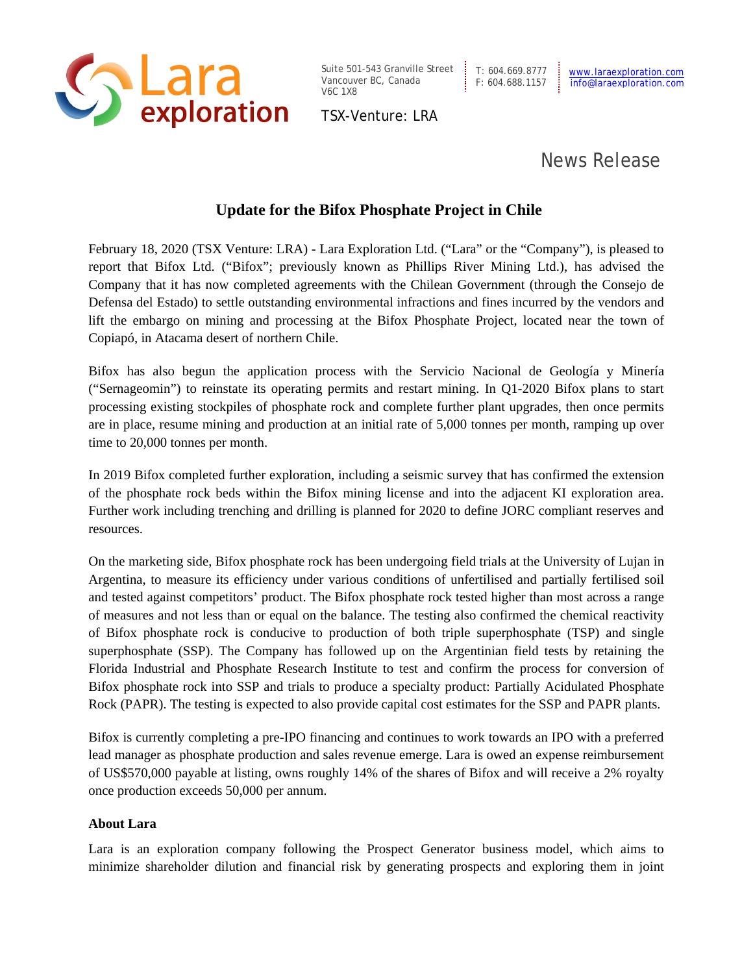

Suite 501-543 Granville Street | T: 604.669.8777 Vancouver BC, Canada V6C 1X8

TSX-Venture: LRA

## News Release

## **Update for the Bifox Phosphate Project in Chile**

February 18, 2020 (TSX Venture: LRA) - Lara Exploration Ltd. ("Lara" or the "Company"), is pleased to report that Bifox Ltd. ("Bifox"; previously known as Phillips River Mining Ltd.), has advised the Company that it has now completed agreements with the Chilean Government (through the Consejo de Defensa del Estado) to settle outstanding environmental infractions and fines incurred by the vendors and lift the embargo on mining and processing at the Bifox Phosphate Project, located near the town of Copiapó, in Atacama desert of northern Chile.

Bifox has also begun the application process with the Servicio Nacional de Geología y Minería ("Sernageomin") to reinstate its operating permits and restart mining. In Q1-2020 Bifox plans to start processing existing stockpiles of phosphate rock and complete further plant upgrades, then once permits are in place, resume mining and production at an initial rate of 5,000 tonnes per month, ramping up over time to 20,000 tonnes per month.

In 2019 Bifox completed further exploration, including a seismic survey that has confirmed the extension of the phosphate rock beds within the Bifox mining license and into the adjacent KI exploration area. Further work including trenching and drilling is planned for 2020 to define JORC compliant reserves and resources.

On the marketing side, Bifox phosphate rock has been undergoing field trials at the University of Lujan in Argentina, to measure its efficiency under various conditions of unfertilised and partially fertilised soil and tested against competitors' product. The Bifox phosphate rock tested higher than most across a range of measures and not less than or equal on the balance. The testing also confirmed the chemical reactivity of Bifox phosphate rock is conducive to production of both triple superphosphate (TSP) and single superphosphate (SSP). The Company has followed up on the Argentinian field tests by retaining the Florida Industrial and Phosphate Research Institute to test and confirm the process for conversion of Bifox phosphate rock into SSP and trials to produce a specialty product: Partially Acidulated Phosphate Rock (PAPR). The testing is expected to also provide capital cost estimates for the SSP and PAPR plants.

Bifox is currently completing a pre-IPO financing and continues to work towards an IPO with a preferred lead manager as phosphate production and sales revenue emerge. Lara is owed an expense reimbursement of US\$570,000 payable at listing, owns roughly 14% of the shares of Bifox and will receive a 2% royalty once production exceeds 50,000 per annum.

## **About Lara**

Lara is an exploration company following the Prospect Generator business model, which aims to minimize shareholder dilution and financial risk by generating prospects and exploring them in joint